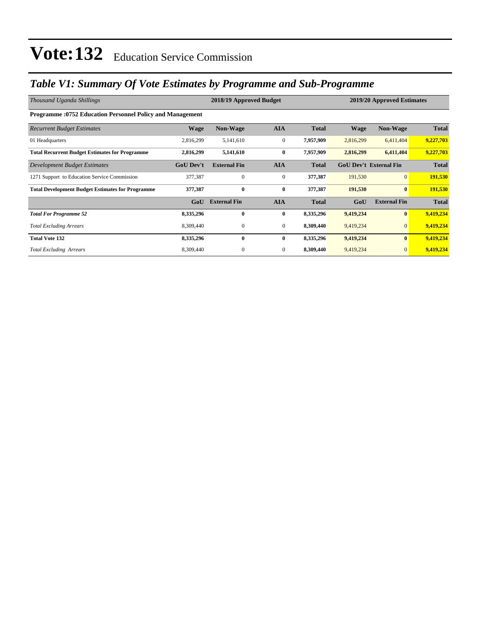### *Table V1: Summary Of Vote Estimates by Programme and Sub-Programme*

| Thousand Uganda Shillings                                        |                  | 2018/19 Approved Budget |                  | 2019/20 Approved Estimates |                               |                     |              |
|------------------------------------------------------------------|------------------|-------------------------|------------------|----------------------------|-------------------------------|---------------------|--------------|
| <b>Programme: 0752 Education Personnel Policy and Management</b> |                  |                         |                  |                            |                               |                     |              |
| <b>Recurrent Budget Estimates</b>                                | <b>Wage</b>      | <b>Non-Wage</b>         | <b>AIA</b>       | <b>Total</b>               | <b>Wage</b>                   | <b>Non-Wage</b>     | <b>Total</b> |
| 01 Headquarters                                                  | 2,816,299        | 5,141,610               | $\mathbf{0}$     | 7,957,909                  | 2,816,299                     | 6,411,404           | 9,227,703    |
| <b>Total Recurrent Budget Estimates for Programme</b>            | 2,816,299        | 5,141,610               | $\bf{0}$         | 7,957,909                  | 2,816,299                     | 6,411,404           | 9,227,703    |
| Development Budget Estimates                                     | <b>GoU Dev't</b> | <b>External Fin</b>     | <b>AIA</b>       | <b>Total</b>               | <b>GoU Dev't External Fin</b> |                     | <b>Total</b> |
| 1271 Support to Education Service Commission                     | 377,387          | $\mathbf{0}$            | $\boldsymbol{0}$ | 377,387                    | 191,530                       | $\overline{0}$      | 191,530      |
| <b>Total Development Budget Estimates for Programme</b>          | 377,387          | $\bf{0}$                | $\bf{0}$         | 377,387                    | 191,530                       | $\mathbf{0}$        | 191,530      |
|                                                                  | GoU              | <b>External Fin</b>     | <b>AIA</b>       | <b>Total</b>               | GoU                           | <b>External Fin</b> | <b>Total</b> |
| <b>Total For Programme 52</b>                                    | 8,335,296        | $\bf{0}$                | $\bf{0}$         | 8,335,296                  | 9,419,234                     | $\bf{0}$            | 9,419,234    |
| <b>Total Excluding Arrears</b>                                   | 8,309,440        | 0                       | $\overline{0}$   | 8,309,440                  | 9,419,234                     | $\mathbf{0}$        | 9,419,234    |
| <b>Total Vote 132</b>                                            | 8,335,296        | $\mathbf{0}$            | $\bf{0}$         | 8,335,296                  | 9,419,234                     | $\bf{0}$            | 9,419,234    |
| <b>Total Excluding Arrears</b>                                   | 8,309,440        | 0                       | $\overline{0}$   | 8,309,440                  | 9,419,234                     | $\mathbf{0}$        | 9,419,234    |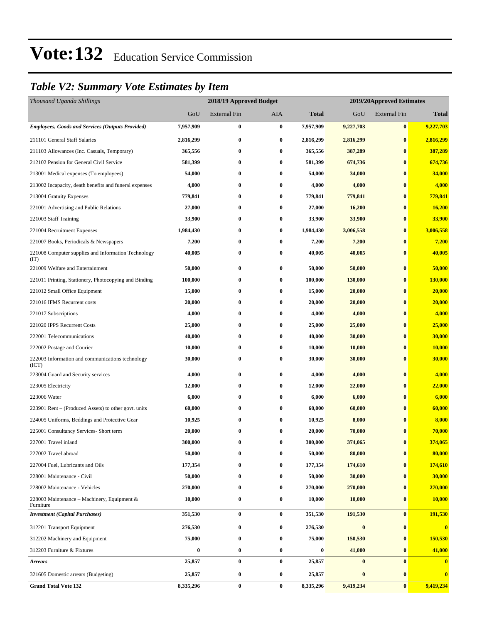### *Table V2: Summary Vote Estimates by Item*

| Thousand Uganda Shillings                                   |           | 2018/19 Approved Budget |            |                  | 2019/20Approved Estimates |                     |              |
|-------------------------------------------------------------|-----------|-------------------------|------------|------------------|---------------------------|---------------------|--------------|
|                                                             | GoU       | <b>External Fin</b>     | <b>AIA</b> | <b>Total</b>     | GoU                       | <b>External Fin</b> | <b>Total</b> |
| <b>Employees, Goods and Services (Outputs Provided)</b>     | 7,957,909 | 0                       | $\bf{0}$   | 7,957,909        | 9,227,703                 | $\bf{0}$            | 9,227,703    |
| 211101 General Staff Salaries                               | 2,816,299 | 0                       | $\bf{0}$   | 2,816,299        | 2,816,299                 | $\bf{0}$            | 2,816,299    |
| 211103 Allowances (Inc. Casuals, Temporary)                 | 365,556   | $\bf{0}$                | $\bf{0}$   | 365,556          | 387,289                   | $\bf{0}$            | 387,289      |
| 212102 Pension for General Civil Service                    | 581,399   | 0                       | $\bf{0}$   | 581,399          | 674,736                   | $\bf{0}$            | 674,736      |
| 213001 Medical expenses (To employees)                      | 54,000    | $\bf{0}$                | $\bf{0}$   | 54,000           | 34,000                    | $\bf{0}$            | 34,000       |
| 213002 Incapacity, death benefits and funeral expenses      | 4,000     | $\bf{0}$                | $\bf{0}$   | 4,000            | 4,000                     | $\bf{0}$            | 4,000        |
| 213004 Gratuity Expenses                                    | 779,841   | 0                       | $\bf{0}$   | 779,841          | 779,841                   | $\bf{0}$            | 779,841      |
| 221001 Advertising and Public Relations                     | 27,000    | $\boldsymbol{0}$        | $\bf{0}$   | 27,000           | 16,200                    | $\bf{0}$            | 16,200       |
| 221003 Staff Training                                       | 33,900    | 0                       | $\bf{0}$   | 33,900           | 33,900                    | $\bf{0}$            | 33,900       |
| 221004 Recruitment Expenses                                 | 1,984,430 | $\bf{0}$                | $\bf{0}$   | 1,984,430        | 3,006,558                 | $\bf{0}$            | 3,006,558    |
| 221007 Books, Periodicals & Newspapers                      | 7,200     | $\bf{0}$                | $\bf{0}$   | 7,200            | 7,200                     | $\bf{0}$            | 7,200        |
| 221008 Computer supplies and Information Technology<br>(TT) | 40,005    | 0                       | $\bf{0}$   | 40,005           | 40,005                    | $\bf{0}$            | 40,005       |
| 221009 Welfare and Entertainment                            | 50,000    | $\bf{0}$                | $\bf{0}$   | 50,000           | 50,000                    | $\bf{0}$            | 50,000       |
| 221011 Printing, Stationery, Photocopying and Binding       | 100,000   | $\bf{0}$                | $\bf{0}$   | 100,000          | 130,000                   | $\bf{0}$            | 130,000      |
| 221012 Small Office Equipment                               | 15,000    | 0                       | $\bf{0}$   | 15,000           | 20,000                    | $\bf{0}$            | 20,000       |
| 221016 IFMS Recurrent costs                                 | 20,000    | 0                       | $\bf{0}$   | 20,000           | 20,000                    | $\bf{0}$            | 20,000       |
| 221017 Subscriptions                                        | 4,000     | $\bf{0}$                | $\bf{0}$   | 4,000            | 4,000                     | $\bf{0}$            | 4,000        |
| 221020 IPPS Recurrent Costs                                 | 25,000    | 0                       | $\bf{0}$   | 25,000           | 25,000                    | $\bf{0}$            | 25,000       |
| 222001 Telecommunications                                   | 40,000    | $\bf{0}$                | $\bf{0}$   | 40,000           | 30,000                    | $\bf{0}$            | 30,000       |
| 222002 Postage and Courier                                  | 10,000    | $\bf{0}$                | $\bf{0}$   | 10,000           | 10,000                    | $\bf{0}$            | 10,000       |
| 222003 Information and communications technology<br>(ICT)   | 30,000    | 0                       | $\bf{0}$   | 30,000           | 30,000                    | $\bf{0}$            | 30,000       |
| 223004 Guard and Security services                          | 4,000     | $\bf{0}$                | $\bf{0}$   | 4,000            | 4,000                     | $\bf{0}$            | 4,000        |
| 223005 Electricity                                          | 12,000    | $\bf{0}$                | $\bf{0}$   | 12,000           | 22,000                    | $\bf{0}$            | 22,000       |
| 223006 Water                                                | 6,000     | $\bf{0}$                | $\bf{0}$   | 6,000            | 6,000                     | $\bf{0}$            | 6,000        |
| 223901 Rent – (Produced Assets) to other govt. units        | 60,000    | $\boldsymbol{0}$        | $\bf{0}$   | 60,000           | 60,000                    | $\bf{0}$            | 60,000       |
| 224005 Uniforms, Beddings and Protective Gear               | 10,925    | $\bf{0}$                | $\bf{0}$   | 10,925           | 8,000                     | $\bf{0}$            | 8,000        |
| 225001 Consultancy Services- Short term                     | 20,000    | $\bf{0}$                | $\bf{0}$   | 20,000           | 70,000                    | $\bf{0}$            | 70,000       |
| 227001 Travel inland                                        | 300,000   | $\bf{0}$                | $\bf{0}$   | 300,000          | 374,065                   | $\bf{0}$            | 374,065      |
| 227002 Travel abroad                                        | 50,000    | $\bf{0}$                | $\bf{0}$   | 50,000           | 80,000                    | $\bf{0}$            | 80,000       |
| 227004 Fuel, Lubricants and Oils                            | 177,354   | $\bf{0}$                | $\bf{0}$   | 177,354          | 174,610                   | $\bf{0}$            | 174,610      |
| 228001 Maintenance - Civil                                  | 50,000    | $\bf{0}$                | $\bf{0}$   | 50,000           | 30,000                    | $\bf{0}$            | 30,000       |
| 228002 Maintenance - Vehicles                               | 270,000   | $\bf{0}$                | $\bf{0}$   | 270,000          | 270,000                   | $\bf{0}$            | 270,000      |
| 228003 Maintenance – Machinery, Equipment &<br>Furniture    | 10,000    | $\bf{0}$                | $\bf{0}$   | 10,000           | 10,000                    | $\bf{0}$            | 10,000       |
| <b>Investment</b> (Capital Purchases)                       | 351,530   | $\bf{0}$                | $\bf{0}$   | 351,530          | 191,530                   | $\bf{0}$            | 191,530      |
| 312201 Transport Equipment                                  | 276,530   | $\bf{0}$                | $\bf{0}$   | 276,530          | $\boldsymbol{0}$          | $\bf{0}$            | $\bf{0}$     |
| 312202 Machinery and Equipment                              | 75,000    | $\bf{0}$                | $\bf{0}$   | 75,000           | 150,530                   | $\bf{0}$            | 150,530      |
| 312203 Furniture & Fixtures                                 | $\bf{0}$  | $\bf{0}$                | $\bf{0}$   | $\boldsymbol{0}$ | 41,000                    | $\bf{0}$            | 41,000       |
| <b>Arrears</b>                                              | 25,857    | $\pmb{0}$               | $\bf{0}$   | 25,857           | $\bf{0}$                  | $\bf{0}$            | $\bf{0}$     |
| 321605 Domestic arrears (Budgeting)                         | 25,857    | $\bf{0}$                | $\bf{0}$   | 25,857           | $\boldsymbol{0}$          | $\bf{0}$            | $\bf{0}$     |
| <b>Grand Total Vote 132</b>                                 | 8,335,296 | $\pmb{0}$               | $\bf{0}$   | 8,335,296        | 9,419,234                 | $\bf{0}$            | 9,419,234    |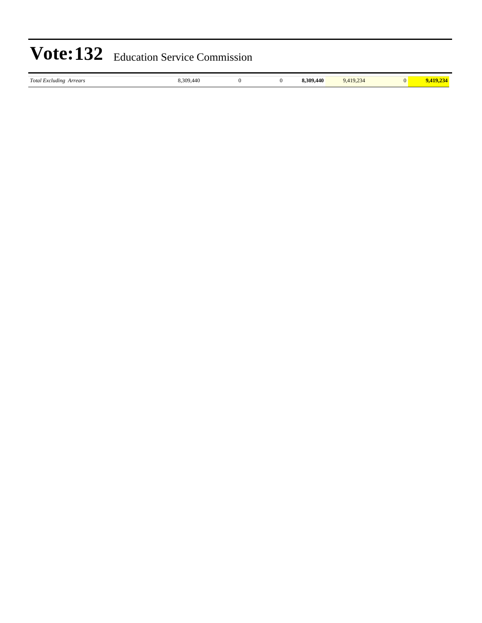| Total E<br>Arrears<br><i>xcluding</i> |  | .440 <sup>2</sup><br>300<br> | $\mathbf{A}$<br>$10 -$<br>-14 |  |
|---------------------------------------|--|------------------------------|-------------------------------|--|
|                                       |  |                              |                               |  |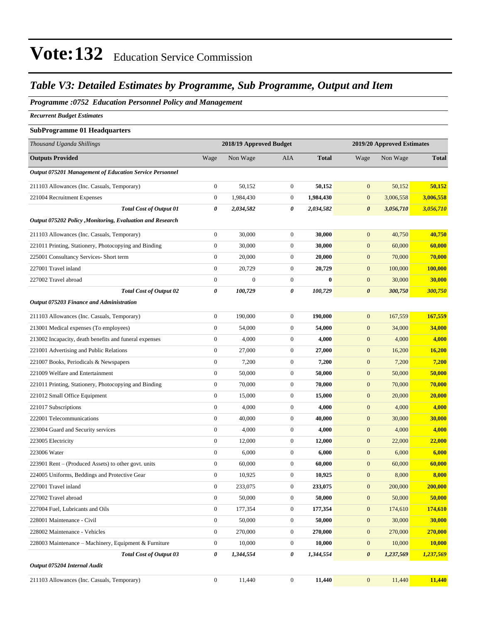#### *Table V3: Detailed Estimates by Programme, Sub Programme, Output and Item*

#### *Programme :0752 Education Personnel Policy and Management*

*Recurrent Budget Estimates*

#### **SubProgramme 01 Headquarters**

| Thousand Uganda Shillings                                  |                  | 2018/19 Approved Budget |                  | 2019/20 Approved Estimates |                       |           |                |
|------------------------------------------------------------|------------------|-------------------------|------------------|----------------------------|-----------------------|-----------|----------------|
| <b>Outputs Provided</b>                                    | Wage             | Non Wage                | <b>AIA</b>       | <b>Total</b>               | Wage                  | Non Wage  | <b>Total</b>   |
| Output 075201 Management of Education Service Personnel    |                  |                         |                  |                            |                       |           |                |
| 211103 Allowances (Inc. Casuals, Temporary)                | $\boldsymbol{0}$ | 50,152                  | $\mathbf{0}$     | 50,152                     | $\mathbf{0}$          | 50,152    | 50,152         |
| 221004 Recruitment Expenses                                | $\boldsymbol{0}$ | 1,984,430               | $\boldsymbol{0}$ | 1,984,430                  | $\mathbf{0}$          | 3,006,558 | 3,006,558      |
| <b>Total Cost of Output 01</b>                             | 0                | 2,034,582               | 0                | 2,034,582                  | $\boldsymbol{\theta}$ | 3,056,710 | 3,056,710      |
| Output 075202 Policy , Monitoring, Evaluation and Research |                  |                         |                  |                            |                       |           |                |
| 211103 Allowances (Inc. Casuals, Temporary)                | $\boldsymbol{0}$ | 30,000                  | $\boldsymbol{0}$ | 30,000                     | $\mathbf{0}$          | 40,750    | 40,750         |
| 221011 Printing, Stationery, Photocopying and Binding      | $\boldsymbol{0}$ | 30,000                  | $\mathbf{0}$     | 30,000                     | $\mathbf{0}$          | 60,000    | 60,000         |
| 225001 Consultancy Services- Short term                    | $\boldsymbol{0}$ | 20,000                  | $\mathbf{0}$     | 20,000                     | $\mathbf{0}$          | 70,000    | 70,000         |
| 227001 Travel inland                                       | $\boldsymbol{0}$ | 20,729                  | $\boldsymbol{0}$ | 20,729                     | $\mathbf{0}$          | 100,000   | 100,000        |
| 227002 Travel abroad                                       | $\boldsymbol{0}$ | $\boldsymbol{0}$        | $\boldsymbol{0}$ | $\bf{0}$                   | $\boldsymbol{0}$      | 30,000    | 30,000         |
| <b>Total Cost of Output 02</b>                             | 0                | 100,729                 | 0                | 100,729                    | $\boldsymbol{\theta}$ | 300,750   | 300,750        |
| Output 075203 Finance and Administration                   |                  |                         |                  |                            |                       |           |                |
| 211103 Allowances (Inc. Casuals, Temporary)                | $\boldsymbol{0}$ | 190,000                 | $\boldsymbol{0}$ | 190,000                    | $\mathbf{0}$          | 167,559   | 167,559        |
| 213001 Medical expenses (To employees)                     | $\boldsymbol{0}$ | 54,000                  | $\mathbf{0}$     | 54,000                     | $\mathbf{0}$          | 34,000    | 34,000         |
| 213002 Incapacity, death benefits and funeral expenses     | $\boldsymbol{0}$ | 4,000                   | $\boldsymbol{0}$ | 4,000                      | $\mathbf{0}$          | 4,000     | 4,000          |
| 221001 Advertising and Public Relations                    | $\boldsymbol{0}$ | 27,000                  | $\boldsymbol{0}$ | 27,000                     | $\boldsymbol{0}$      | 16,200    | 16,200         |
| 221007 Books, Periodicals & Newspapers                     | $\boldsymbol{0}$ | 7,200                   | $\boldsymbol{0}$ | 7,200                      | $\mathbf{0}$          | 7,200     | 7,200          |
| 221009 Welfare and Entertainment                           | $\boldsymbol{0}$ | 50,000                  | $\boldsymbol{0}$ | 50,000                     | $\boldsymbol{0}$      | 50,000    | 50,000         |
| 221011 Printing, Stationery, Photocopying and Binding      | $\boldsymbol{0}$ | 70,000                  | $\boldsymbol{0}$ | 70,000                     | $\boldsymbol{0}$      | 70,000    | 70,000         |
| 221012 Small Office Equipment                              | $\mathbf{0}$     | 15,000                  | $\boldsymbol{0}$ | 15,000                     | $\boldsymbol{0}$      | 20,000    | 20,000         |
| 221017 Subscriptions                                       | $\mathbf{0}$     | 4,000                   | $\boldsymbol{0}$ | 4,000                      | $\boldsymbol{0}$      | 4,000     | 4,000          |
| 222001 Telecommunications                                  | $\boldsymbol{0}$ | 40,000                  | $\boldsymbol{0}$ | 40,000                     | $\boldsymbol{0}$      | 30,000    | 30,000         |
| 223004 Guard and Security services                         | $\boldsymbol{0}$ | 4,000                   | $\boldsymbol{0}$ | 4,000                      | $\boldsymbol{0}$      | 4,000     | 4,000          |
| 223005 Electricity                                         | $\mathbf{0}$     | 12,000                  | $\boldsymbol{0}$ | 12,000                     | $\mathbf{0}$          | 22,000    | 22,000         |
| 223006 Water                                               | $\mathbf{0}$     | 6,000                   | $\boldsymbol{0}$ | 6,000                      | $\mathbf{0}$          | 6,000     | 6,000          |
| 223901 Rent – (Produced Assets) to other govt. units       | $\mathbf{0}$     | 60,000                  | $\boldsymbol{0}$ | 60,000                     | $\boldsymbol{0}$      | 60,000    | 60,000         |
| 224005 Uniforms, Beddings and Protective Gear              | $\boldsymbol{0}$ | 10,925                  | $\mathbf{0}$     | 10,925                     | $\boldsymbol{0}$      | 8,000     | 8,000          |
| 227001 Travel inland                                       | $\mathbf{0}$     | 233,075                 | $\boldsymbol{0}$ | 233,075                    | $\mathbf{0}$          | 200,000   | 200,000        |
| 227002 Travel abroad                                       | $\boldsymbol{0}$ | 50,000                  | $\boldsymbol{0}$ | 50,000                     | $\mathbf{0}$          | 50,000    | 50,000         |
| 227004 Fuel, Lubricants and Oils                           | $\boldsymbol{0}$ | 177,354                 | $\boldsymbol{0}$ | 177,354                    | $\boldsymbol{0}$      | 174,610   | <b>174,610</b> |
| 228001 Maintenance - Civil                                 | $\boldsymbol{0}$ | 50,000                  | $\boldsymbol{0}$ | 50,000                     | $\boldsymbol{0}$      | 30,000    | 30,000         |
| 228002 Maintenance - Vehicles                              | $\boldsymbol{0}$ | 270,000                 | $\boldsymbol{0}$ | 270,000                    | $\mathbf{0}$          | 270,000   | 270,000        |
| 228003 Maintenance – Machinery, Equipment & Furniture      | $\boldsymbol{0}$ | 10,000                  | $\boldsymbol{0}$ | 10,000                     | $\mathbf{0}$          | 10,000    | 10,000         |
| <b>Total Cost of Output 03</b>                             | 0                | 1,344,554               | 0                | 1,344,554                  | $\boldsymbol{\theta}$ | 1,237,569 | 1,237,569      |
| Output 075204 Internal Audit                               |                  |                         |                  |                            |                       |           |                |
| 211103 Allowances (Inc. Casuals, Temporary)                | $\boldsymbol{0}$ | 11,440                  | $\boldsymbol{0}$ | 11,440                     | $\boldsymbol{0}$      | 11,440    | 11,440         |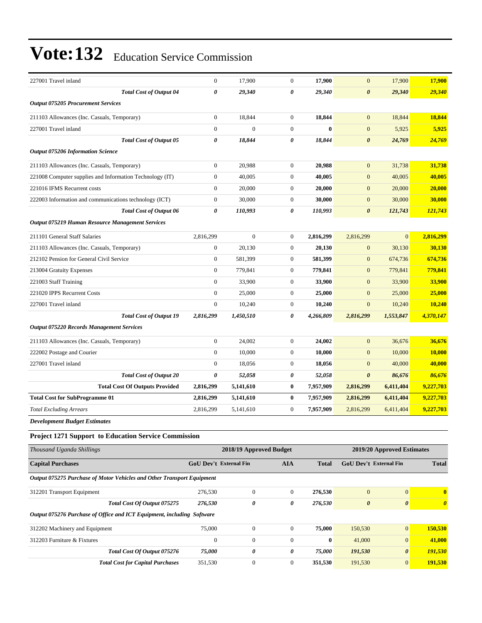| 227001 Travel inland                                                   | $\boldsymbol{0}$       | 17,900                  | $\boldsymbol{0}$      | 17,900       | $\mathbf{0}$               | 17,900                | 17,900                |
|------------------------------------------------------------------------|------------------------|-------------------------|-----------------------|--------------|----------------------------|-----------------------|-----------------------|
| <b>Total Cost of Output 04</b>                                         | 0                      | 29,340                  | $\boldsymbol{\theta}$ | 29,340       | $\boldsymbol{\theta}$      | 29,340                | 29,340                |
| <b>Output 075205 Procurement Services</b>                              |                        |                         |                       |              |                            |                       |                       |
| 211103 Allowances (Inc. Casuals, Temporary)                            | $\mathbf{0}$           | 18,844                  | $\boldsymbol{0}$      | 18,844       | $\mathbf{0}$               | 18,844                | 18,844                |
| 227001 Travel inland                                                   | $\mathbf{0}$           | $\mathbf{0}$            | $\boldsymbol{0}$      | $\bf{0}$     | $\mathbf{0}$               | 5,925                 | 5,925                 |
| <b>Total Cost of Output 05</b>                                         | 0                      | 18,844                  | 0                     | 18,844       | 0                          | 24,769                | <u>24,769</u>         |
| <b>Output 075206 Information Science</b>                               |                        |                         |                       |              |                            |                       |                       |
| 211103 Allowances (Inc. Casuals, Temporary)                            | $\boldsymbol{0}$       | 20,988                  | $\boldsymbol{0}$      | 20,988       | $\mathbf{0}$               | 31,738                | 31,738                |
| 221008 Computer supplies and Information Technology (IT)               | $\mathbf{0}$           | 40,005                  | $\boldsymbol{0}$      | 40,005       | $\mathbf{0}$               | 40,005                | 40,005                |
| 221016 IFMS Recurrent costs                                            | $\boldsymbol{0}$       | 20,000                  | $\boldsymbol{0}$      | 20,000       | $\mathbf{0}$               | 20,000                | 20,000                |
| 222003 Information and communications technology (ICT)                 | $\mathbf{0}$           | 30,000                  | $\boldsymbol{0}$      | 30,000       | $\mathbf{0}$               | 30,000                | 30,000                |
| <b>Total Cost of Output 06</b>                                         | 0                      | 110,993                 | 0                     | 110,993      | 0                          | 121,743               | 121,743               |
| <b>Output 075219 Human Resource Management Services</b>                |                        |                         |                       |              |                            |                       |                       |
| 211101 General Staff Salaries                                          | 2,816,299              | $\mathbf{0}$            | $\boldsymbol{0}$      | 2,816,299    | 2,816,299                  | $\mathbf{0}$          | 2,816,299             |
| 211103 Allowances (Inc. Casuals, Temporary)                            | $\boldsymbol{0}$       | 20,130                  | $\boldsymbol{0}$      | 20,130       | $\mathbf{0}$               | 30,130                | 30,130                |
| 212102 Pension for General Civil Service                               | $\boldsymbol{0}$       | 581,399                 | $\boldsymbol{0}$      | 581,399      | $\boldsymbol{0}$           | 674,736               | 674,736               |
| 213004 Gratuity Expenses                                               | $\boldsymbol{0}$       | 779,841                 | $\boldsymbol{0}$      | 779,841      | $\mathbf{0}$               | 779,841               | 779,841               |
| 221003 Staff Training                                                  | $\boldsymbol{0}$       | 33,900                  | $\boldsymbol{0}$      | 33,900       | $\overline{0}$             | 33,900                | 33,900                |
| 221020 IPPS Recurrent Costs                                            | $\mathbf{0}$           | 25,000                  | $\boldsymbol{0}$      | 25,000       | $\mathbf{0}$               | 25,000                | 25,000                |
| 227001 Travel inland                                                   | $\boldsymbol{0}$       | 10,240                  | $\boldsymbol{0}$      | 10,240       | $\mathbf{0}$               | 10,240                | 10,240                |
| <b>Total Cost of Output 19</b>                                         | 2,816,299              | 1,450,510               | 0                     | 4,266,809    | 2,816,299                  | 1,553,847             | 4,370,147             |
| Output 075220 Records Management Services                              |                        |                         |                       |              |                            |                       |                       |
| 211103 Allowances (Inc. Casuals, Temporary)                            | $\boldsymbol{0}$       | 24,002                  | $\boldsymbol{0}$      | 24,002       | $\mathbf{0}$               | 36,676                | 36,676                |
| 222002 Postage and Courier                                             | $\boldsymbol{0}$       | 10,000                  | $\boldsymbol{0}$      | 10,000       | $\overline{0}$             | 10,000                | <b>10,000</b>         |
| 227001 Travel inland                                                   | $\mathbf{0}$           | 18,056                  | $\boldsymbol{0}$      | 18,056       | $\mathbf{0}$               | 40,000                | 40,000                |
| <b>Total Cost of Output 20</b>                                         | 0                      | 52,058                  | 0                     | 52,058       | $\boldsymbol{\theta}$      | 86,676                | 86,676                |
| <b>Total Cost Of Outputs Provided</b>                                  | 2,816,299              | 5,141,610               | $\bf{0}$              | 7,957,909    | 2,816,299                  | 6,411,404             | 9,227,703             |
| <b>Total Cost for SubProgramme 01</b>                                  | 2,816,299              | 5,141,610               | $\bf{0}$              | 7,957,909    | 2,816,299                  | 6,411,404             | 9,227,703             |
| <b>Total Excluding Arrears</b>                                         | 2,816,299              | 5,141,610               | $\boldsymbol{0}$      | 7,957,909    | 2,816,299                  | 6,411,404             | 9,227,703             |
| <b>Development Budget Estimates</b>                                    |                        |                         |                       |              |                            |                       |                       |
| Project 1271 Support to Education Service Commission                   |                        |                         |                       |              |                            |                       |                       |
| Thousand Uganda Shillings                                              |                        | 2018/19 Approved Budget |                       |              | 2019/20 Approved Estimates |                       |                       |
| <b>Capital Purchases</b>                                               | GoU Dev't External Fin |                         | <b>AIA</b>            | <b>Total</b> | GoU Dev't External Fin     |                       | <b>Total</b>          |
| Output 075275 Purchase of Motor Vehicles and Other Transport Equipment |                        |                         |                       |              |                            |                       |                       |
| 312201 Transport Equipment                                             | 276,530                | $\mathbf{0}$            | $\boldsymbol{0}$      | 276,530      | $\mathbf{0}$               | $\mathbf{0}$          | $\mathbf{0}$          |
| Total Cost Of Output 075275                                            | 276,530                | 0                       | $\pmb{\theta}$        | 276,530      | $\boldsymbol{\theta}$      | $\boldsymbol{\theta}$ | $\boldsymbol{\theta}$ |
| Output 075276 Purchase of Office and ICT Equipment, including Software |                        |                         |                       |              |                            |                       |                       |
| 312202 Machinery and Equipment                                         | 75,000                 | $\boldsymbol{0}$        | $\boldsymbol{0}$      | 75,000       | 150,530                    | $\boldsymbol{0}$      | 150,530               |
| 312203 Furniture & Fixtures                                            | $\boldsymbol{0}$       | $\boldsymbol{0}$        | $\boldsymbol{0}$      | $\bf{0}$     | 41,000                     | $\mathbf{0}$          | 41,000                |
| Total Cost Of Output 075276                                            | 75,000                 | 0                       | 0                     | 75,000       | 191,530                    | $\boldsymbol{\theta}$ | 191,530               |
| <b>Total Cost for Capital Purchases</b>                                | 351,530                | $\boldsymbol{0}$        | $\boldsymbol{0}$      | 351,530      | 191,530                    | $\mathbf{0}$          | 191,530               |
|                                                                        |                        |                         |                       |              |                            |                       |                       |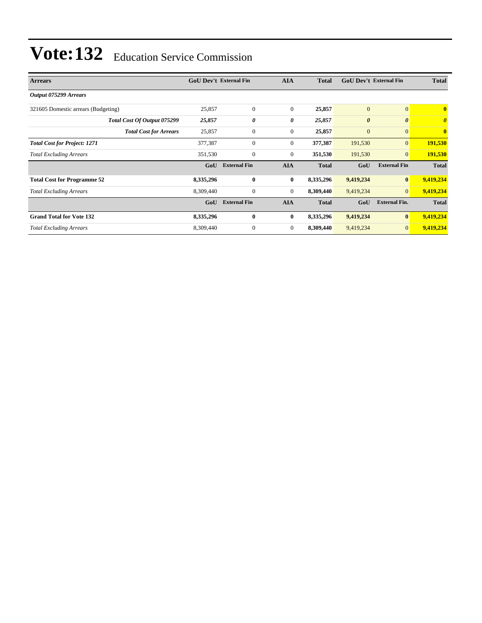| <b>Arrears</b>                      | <b>GoU Dev't External Fin</b> |                     | <b>AIA</b>       | <b>Total</b> | <b>GoU Dev't External Fin</b> |                       | <b>Total</b>                     |  |
|-------------------------------------|-------------------------------|---------------------|------------------|--------------|-------------------------------|-----------------------|----------------------------------|--|
| Output 075299 Arrears               |                               |                     |                  |              |                               |                       |                                  |  |
| 321605 Domestic arrears (Budgeting) | 25,857                        | $\mathbf{0}$        | $\theta$         | 25,857       | $\mathbf{0}$                  | $\overline{0}$        | $\mathbf{0}$                     |  |
| Total Cost Of Output 075299         | 25,857                        | 0                   | 0                | 25,857       | $\boldsymbol{\theta}$         | $\boldsymbol{\theta}$ | $\overline{\boldsymbol{\theta}}$ |  |
| <b>Total Cost for Arrears</b>       | 25,857                        | $\mathbf{0}$        | $\boldsymbol{0}$ | 25,857       | $\mathbf{0}$                  | $\mathbf{0}$          | $\mathbf{0}$                     |  |
| <b>Total Cost for Project: 1271</b> | 377,387                       | $\mathbf{0}$        | $\mathbf{0}$     | 377,387      | 191,530                       | $\mathbf{0}$          | 191,530                          |  |
| <b>Total Excluding Arrears</b>      | 351,530                       | $\mathbf{0}$        | $\mathbf{0}$     | 351,530      | 191,530                       | $\overline{0}$        | 191,530                          |  |
|                                     | GoU                           | <b>External Fin</b> | <b>AIA</b>       | <b>Total</b> | GoU                           | <b>External Fin</b>   | <b>Total</b>                     |  |
| <b>Total Cost for Programme 52</b>  | 8,335,296                     | $\bf{0}$            | $\bf{0}$         | 8,335,296    | 9,419,234                     | $\vert 0 \vert$       | 9,419,234                        |  |
| <b>Total Excluding Arrears</b>      | 8,309,440                     | $\mathbf{0}$        | $\mathbf{0}$     | 8,309,440    | 9,419,234                     | $\overline{0}$        | 9,419,234                        |  |
|                                     | GoU                           | <b>External Fin</b> | <b>AIA</b>       | <b>Total</b> | GoU                           | <b>External Fin.</b>  | <b>Total</b>                     |  |
| <b>Grand Total for Vote 132</b>     | 8,335,296                     | $\bf{0}$            | $\bf{0}$         | 8,335,296    | 9,419,234                     | $\bf{0}$              | 9,419,234                        |  |
| <b>Total Excluding Arrears</b>      | 8,309,440                     | $\mathbf{0}$        | $\boldsymbol{0}$ | 8,309,440    | 9,419,234                     | $\mathbf{0}$          | 9,419,234                        |  |